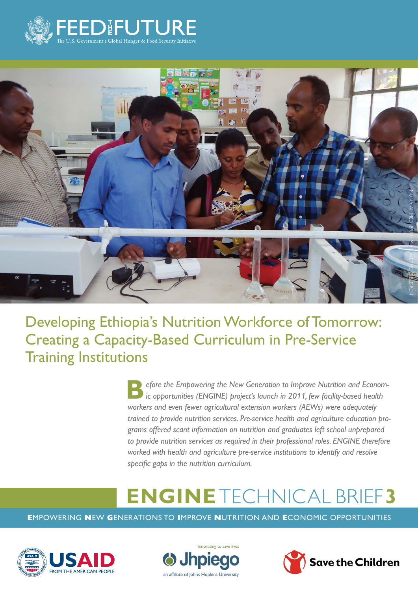



Developing Ethiopia's Nutrition Workforce of Tomorrow: Creating a Capacity-Based Curriculum in Pre-Service Training Institutions

> **Before the Empowering the New Generation to Improve Nutrition and Econom-<br><b>B** ic opportunities (ENGINE) project's launch in 2011, few facility-based health *workers and even fewer agricultural extension workers (AEWs) were adequately trained to provide nutrition services. Pre-service health and agriculture education programs offered scant information on nutrition and graduates left school unprepared*  to provide nutrition services as required in their professional roles. ENGINE therefore *worked with health and agriculture pre-service institutions to identify and resolve specific gaps in the nutrition curriculum.*

# **ENGINE** TECHNICAL BRIEF**3**

**E**MPOWERING **N**EW **G**ENERATIONS TO **I**MPROVE **N**UTRITION AND **E**CONOMIC OPPORTUNITIES





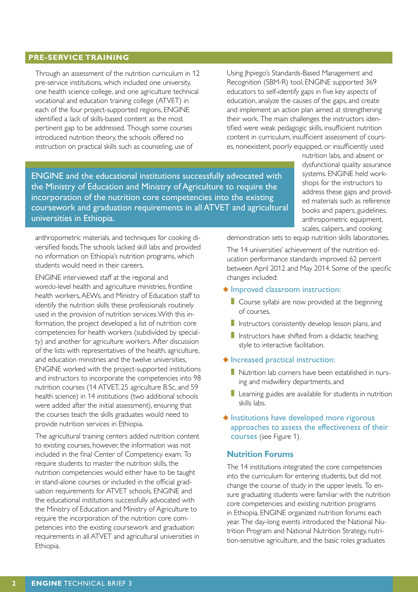## **PRE-SERVICE TRAINING**

Through an assessment of the nutrition curriculum in 12 pre-service institutions, which included one university, one health science college, and one agriculture technical vocational and education training college (ATVET) in each of the four project-supported regions, ENGINE identified a lack of skills-based content as the most pertinent gap to be addressed. Though some courses introduced nutrition theory, the schools offered no instruction on practical skills such as counseling, use of

Using Jhpiego's Standards-Based Management and Recognition (SBM-R) tool, ENGINE supported 369 educators to self-identify gaps in five key aspects of education, analyze the causes of the gaps, and create and implement an action plan aimed at strengthening their work. The main challenges the instructors identified were weak pedagogic skills, insufficient nutrition content in curriculum, insufficient assessment of courses, nonexistent, poorly equipped, or insufficiently used

ENGINE and the educational institutions successfully advocated with the Ministry of Education and Ministry of Agriculture to require the incorporation of the nutrition core competencies into the existing coursework and graduation requirements in all ATVET and agricultural universities in Ethiopia.

nutrition labs, and absent or dysfunctional quality assurance systems. ENGINE held workshops for the instructors to address these gaps and provided materials such as reference books and papers, guidelines, anthropometric equipment, scales, calipers, and cooking

anthropometric materials, and techniques for cooking diversified foods. The schools lacked skill labs and provided no information on Ethiopia's nutrition programs, which students would need in their careers.

ENGINE interviewed staff at the regional and *woreda*-level health and agriculture ministries, frontline health workers, AEWs, and Ministry of Education staff to identify the nutrition skills these professionals routinely used in the provision of nutrition services. With this information, the project developed a list of nutrition core competencies for health workers (subdivided by specialty) and another for agriculture workers. After discussion of the lists with representatives of the health, agriculture, and education ministries and the twelve universities, ENGINE worked with the project-supported institutions and instructors to incorporate the competencies into 98 nutrition courses (14 ATVET, 25 agriculture B.Sc, and 59 health science) in 14 institutions (two additional schools were added after the initial assessment), ensuring that the courses teach the skills graduates would need to provide nutrition services in Ethiopia.

The agricultural training centers added nutrition content to existing courses, however, the information was not included in the final Center of Competency exam. To require students to master the nutrition skills, the nutrition competencies would either have to be taught in stand-alone courses or included in the official graduation requirements for ATVET schools. ENGINE and the educational institutions successfully advocated with the Ministry of Education and Ministry of Agriculture to require the incorporation of the nutrition core competencies into the existing coursework and graduation requirements in all ATVET and agricultural universities in Ethiopia.

demonstration sets to equip nutrition skills laboratories.

The 14 universities' achievement of the nutrition education performance standards improved 62 percent between April 2012 and May 2014. Some of the specific changes included:

#### ◆ Improved classroom instruction:

- Course syllabi are now provided at the beginning of courses,
- **I** Instructors consistently develop lesson plans, and
- Instructors have shifted from a didactic teaching style to interactive facilitation.

#### ◆ Increased practical instruction:

- Nutrition lab corners have been established in nursing and midwifery departments, and
- Learning guides are available for students in nutrition skills labs.
- ◆ Institutions have developed more rigorous approaches to assess the effectiveness of their courses (see Figure 1).

#### **Nutrition Forums**

The 14 institutions integrated the core competencies into the curriculum for entering students, but did not change the course of study in the upper levels. To ensure graduating students were familiar with the nutrition core competencies and existing nutrition programs in Ethiopia, ENGINE organized nutrition forums each year. The day-long events introduced the National Nutrition Program and National Nutrition Strategy, nutrition-sensitive agriculture, and the basic roles graduates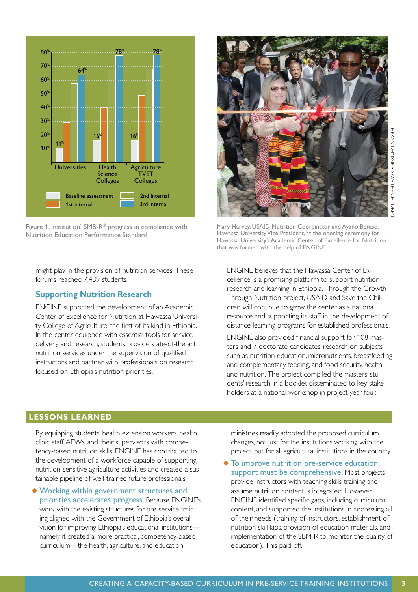



Figure 1. Institution' SMB-R® progress in compliance with Nutrition Education Performance Standard

1st internal **1988** and internal

Science **Colleges** 

16<sup>% 1</sup> 16 16

**Agriculture** TVET **Colleges** 

78% 78%

2nd internal

might play in the provision of nutrition services. These forums reached 7,439 students.

### **Supporting Nutrition Research**

Universities Health

 $64%$ 

Baseline assessment

 $10<sup>%</sup>$ </sup> 20% 30%  $40^{\circ}$ 50<sup>%</sup> 60%

 $11<sup>%</sup>$ </sup>

70%  $80<sup>°</sup>$ 

ENGINE supported the development of an Academic Center of Excellence for Nutrition at Hawassa University College of Agriculture, the first of its kind in Ethiopia. In the center equipped with essential tools for service delivery and research, students provide state-of-the art nutrition services under the supervision of qualified instructors and partner with professionals on research focused on Ethiopia's nutrition priorities.

Mary Harvey, USAID Nutrition Coordinator and Ayano Beraso, Hawassa University Vice President, at the opening ceremony for Hawassa University's Academic Center of Excellence for Nutrition that was formed with the help of ENGINE.

ENGINE believes that the Hawassa Center of Excellence is a promising platform to support nutrition research and learning in Ethiopia. Through the Growth Through Nutrition project, USAID and Save the Children will continue to grow the center as a national resource and supporting its staff in the development of distance learning programs for established professionals.

ENGINE also provided financial support for 108 masters and 7 doctorate candidates' research on subjects such as nutrition education, micronutrients, breastfeeding and complementary feeding, and food security, health, and nutrition. The project compiled the masters' students' research in a booklet disseminated to key stakeholders at a national workshop in project year four.

#### **LESSONS LEARNED**

By equipping students, health extension workers, health clinic staff, AEWs, and their supervisors with competency-based nutrition skills, ENGINE has contributed to the development of a workforce capable of supporting nutrition-sensitive agriculture activities and created a sustainable pipeline of well-trained future professionals.

◆ Working within government structures and priorities accelerates progress. Because ENGINE's work with the existing structures for pre-service training aligned with the Government of Ethiopia's overall vision for improving Ethiopia's educational institutions namely it created a more practical, competency-based curriculum—the health, agriculture, and education

ministries readily adopted the proposed curriculum changes, not just for the institutions working with the project, but for all agricultural institutions in the country.

◆ To improve nutrition pre-service education, support must be comprehensive. Most projects provide instructors with teaching skills training and assume nutrition content is integrated. However, ENGINE identified specific gaps, including curriculum content, and supported the institutions in addressing all of their needs (training of instructors, establishment of nutrition skill labs, provision of education materials, and implementation of the SBM-R to monitor the quality of education). This paid off.